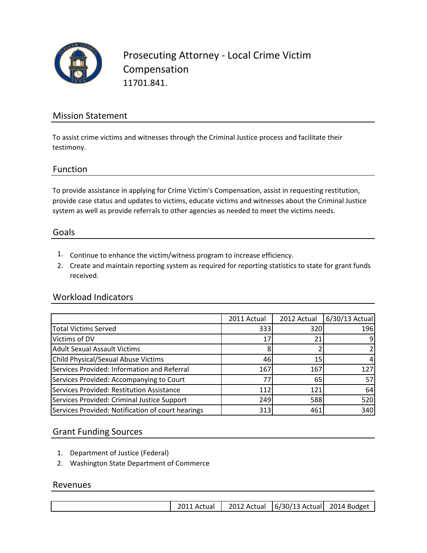

Prosecuting Attorney - Local Crime Victim Compensation 11701.841.

## Mission Statement

To assist crime victims and witnesses through the Criminal Justice process and facilitate their testimony.

#### Function

To provide assistance in applying for Crime Victim's Compensation, assist in requesting restitution, provide case status and updates to victims, educate victims and witnesses about the Criminal Justice system as well as provide referrals to other agencies as needed to meet the victims needs.

#### Goals

- 1. Continue to enhance the victim/witness program to increase efficiency.
- 2. Create and maintain reporting system as required for reporting statistics to state for grant funds received.

#### Workload Indicators

|                                                   | 2011 Actual | 2012 Actual | 6/30/13 Actual |
|---------------------------------------------------|-------------|-------------|----------------|
| <b>Total Victims Served</b>                       | 333         | 320         | 196            |
| Victims of DV                                     | 17          |             |                |
| <b>Adult Sexual Assault Victims</b>               |             |             |                |
| <b>Child Physical/Sexual Abuse Victims</b>        | 46          | 15          |                |
| Services Provided: Information and Referral       | 167         | 167         | 127            |
| Services Provided: Accompanying to Court          | 77          | 65          | 57             |
| Services Provided: Restitution Assistance         | 112         | 121         | 64             |
| Services Provided: Criminal Justice Support       | 249         | 588         | 520            |
| Services Provided: Notification of court hearings | 313         | 461         | 340            |

### Grant Funding Sources

- 1. Department of Justice (Federal)
- 2. Washington State Department of Commerce

#### Revenues